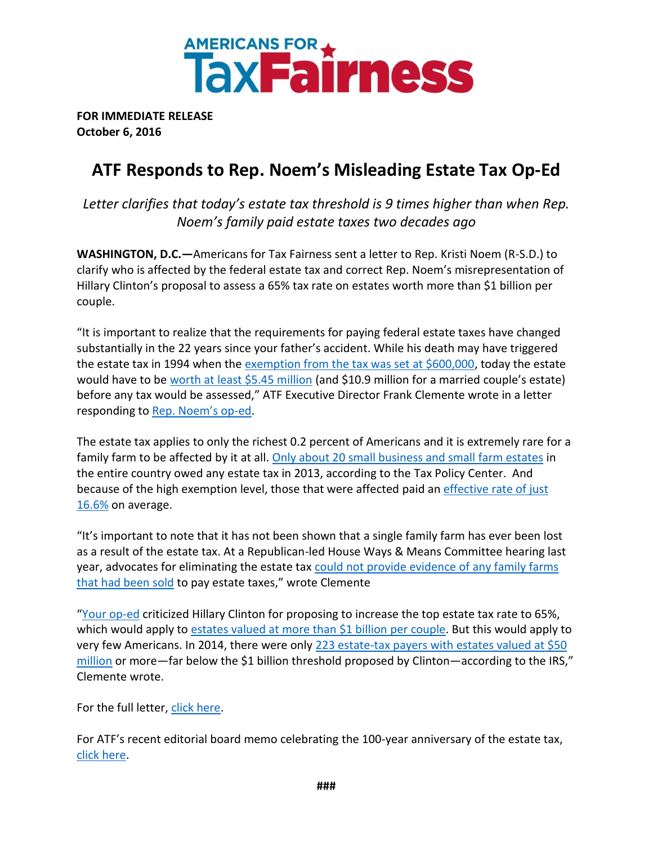

**FOR IMMEDIATE RELEASE October 6, 2016**

## **ATF Responds to Rep. Noem's Misleading Estate Tax Op-Ed**

*Letter clarifies that today's estate tax threshold is 9 times higher than when Rep. Noem's family paid estate taxes two decades ago*

**WASHINGTON, D.C.—**Americans for Tax Fairness sent a letter to Rep. Kristi Noem (R-S.D.) to clarify who is affected by the federal estate tax and correct Rep. Noem's misrepresentation of Hillary Clinton's proposal to assess a 65% tax rate on estates worth more than \$1 billion per couple.

"It is important to realize that the requirements for paying federal estate taxes have changed substantially in the 22 years since your father's accident. While his death may have triggered the estate tax in 1994 when the [exemption from the tax was set at \\$600,000,](http://taxfoundation.org/article/federal-estate-and-gift-tax-rates-exemptions-and-exclusions-1916-2014) today the estate would have to be [worth at least \\$5.45 million](https://www.irs.gov/businesses/small-businesses-self-employed/estate-tax) (and \$10.9 million for a married couple's estate) before any tax would be assessed," ATF Executive Director Frank Clemente wrote in a letter responding to [Rep. Noem's op](http://www.foxnews.com/opinion/2016/10/02/rep-kristi-noem-my-fathers-tragic-death-and-hillary-clintons-plan-to-tax-1-percent.html)-ed.

The estate tax applies to only the richest 0.2 percent of Americans and it is extremely rare for a family farm to be affected by it at all. [Only about 20 small business and small farm estates](http://www.cbpp.org/research/ten-facts-you-should-know-about-the-federal-estate-tax?fa=view&id=2655#_ftn10) in the entire country owed any estate tax in 2013, according to the Tax Policy Center. And because of the high exemption level, those that were affected paid an [effective rate of just](http://www.taxpolicycenter.org/numbers/displayatab.cfm?Docid=3776&DocTypeID=7)  [16.6%](http://www.taxpolicycenter.org/numbers/displayatab.cfm?Docid=3776&DocTypeID=7) on average.

"It's important to note that it has not been shown that a single family farm has ever been lost as a result of the estate tax. At a Republican-led House Ways & Means Committee hearing last year, advocates for eliminating the estate tax [could not provide evidence of any family farms](http://america.aljazeera.com/opinions/2015/3/the-estate-tax-isnt-destroying-family-farms.html)  [that had been sold](http://america.aljazeera.com/opinions/2015/3/the-estate-tax-isnt-destroying-family-farms.html) to pay estate taxes," wrote Clemente

"[Your op-ed](http://www.foxnews.com/opinion/2016/10/02/rep-kristi-noem-my-fathers-tragic-death-and-hillary-clintons-plan-to-tax-1-percent.html) criticized Hillary Clinton for proposing to increase the top estate tax rate to 65%, which would apply to [estates valued at more than \\$1 billion](https://www.hillaryclinton.com/briefing/factsheets/2016/01/12/investing-in-america-by-restoring-basic-fairness-to-our-tax-code/) per couple. But this would apply to very few Americans. In 2014, there were only [223 estate-tax payers with](https://www.washingtonpost.com/news/wonk/wp/2016/09/22/hillary-clinton-just-borrowed-a-billionaire-tax-hike-from-bernie-sanders/) estates valued at \$50 [million](https://www.washingtonpost.com/news/wonk/wp/2016/09/22/hillary-clinton-just-borrowed-a-billionaire-tax-hike-from-bernie-sanders/) or more—far below the \$1 billion threshold proposed by Clinton—according to the IRS," Clemente wrote.

For the full letter, [click here.](http://www.americansfortaxfairness.org/atf-letter-to-rep-kristi-noem-on-the-estate-tax/)

For ATF's recent editorial board memo celebrating the 100-year anniversary of the estate tax, [click here.](http://www.americansfortaxfairness.org/celebrate-the-100-year-anniversary-of-federal-estate-tax/)